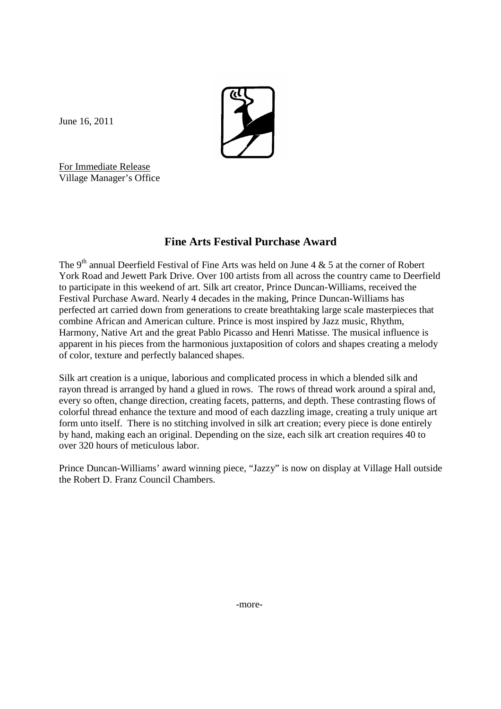

June 16, 2011

For Immediate Release Village Manager's Office

## **Fine Arts Festival Purchase Award**

The 9<sup>th</sup> annual Deerfield Festival of Fine Arts was held on June 4 & 5 at the corner of Robert York Road and Jewett Park Drive. Over 100 artists from all across the country came to Deerfield to participate in this weekend of art. Silk art creator, Prince Duncan-Williams, received the Festival Purchase Award. Nearly 4 decades in the making, Prince Duncan-Williams has perfected art carried down from generations to create breathtaking large scale masterpieces that combine African and American culture. Prince is most inspired by Jazz music, Rhythm, Harmony, Native Art and the great Pablo Picasso and Henri Matisse. The musical influence is apparent in his pieces from the harmonious juxtaposition of colors and shapes creating a melody of color, texture and perfectly balanced shapes.

Silk art creation is a unique, laborious and complicated process in which a blended silk and rayon thread is arranged by hand a glued in rows. The rows of thread work around a spiral and, every so often, change direction, creating facets, patterns, and depth. These contrasting flows of colorful thread enhance the texture and mood of each dazzling image, creating a truly unique art form unto itself. There is no stitching involved in silk art creation; every piece is done entirely by hand, making each an original. Depending on the size, each silk art creation requires 40 to over 320 hours of meticulous labor.

Prince Duncan-Williams' award winning piece, "Jazzy" is now on display at Village Hall outside the Robert D. Franz Council Chambers.